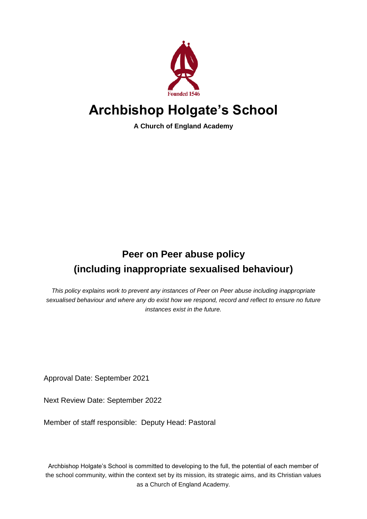

# **Archbishop Holgate's School**

**A Church of England Academy**

# **Peer on Peer abuse policy (including inappropriate sexualised behaviour)**

*This policy explains work to prevent any instances of Peer on Peer abuse including inappropriate sexualised behaviour and where any do exist how we respond, record and reflect to ensure no future instances exist in the future.*

Approval Date: September 2021

Next Review Date: September 2022

Member of staff responsible: Deputy Head: Pastoral

Archbishop Holgate's School is committed to developing to the full, the potential of each member of the school community, within the context set by its mission, its strategic aims, and its Christian values as a Church of England Academy.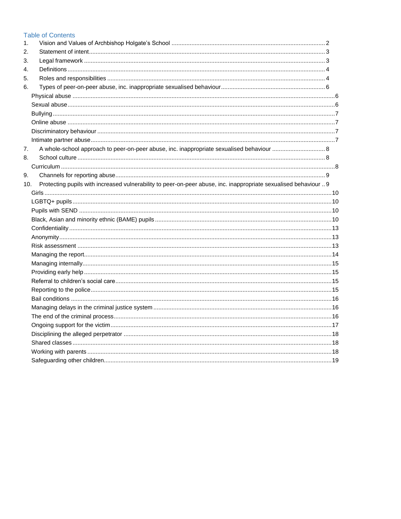|     | <b>Table of Contents</b>                                                                                         |  |
|-----|------------------------------------------------------------------------------------------------------------------|--|
| 1.  |                                                                                                                  |  |
| 2.  |                                                                                                                  |  |
| 3.  |                                                                                                                  |  |
| 4.  |                                                                                                                  |  |
| 5.  |                                                                                                                  |  |
| 6.  |                                                                                                                  |  |
|     |                                                                                                                  |  |
|     |                                                                                                                  |  |
|     |                                                                                                                  |  |
|     |                                                                                                                  |  |
|     |                                                                                                                  |  |
|     |                                                                                                                  |  |
| 7.  |                                                                                                                  |  |
| 8.  |                                                                                                                  |  |
|     |                                                                                                                  |  |
| 9.  |                                                                                                                  |  |
| 10. | Protecting pupils with increased vulnerability to peer-on-peer abuse, inc. inappropriate sexualised behaviour  9 |  |
|     |                                                                                                                  |  |
|     |                                                                                                                  |  |
|     |                                                                                                                  |  |
|     |                                                                                                                  |  |
|     |                                                                                                                  |  |
|     |                                                                                                                  |  |
|     |                                                                                                                  |  |
|     |                                                                                                                  |  |
|     |                                                                                                                  |  |
|     |                                                                                                                  |  |
|     |                                                                                                                  |  |
|     |                                                                                                                  |  |
|     |                                                                                                                  |  |
|     |                                                                                                                  |  |
|     |                                                                                                                  |  |
|     |                                                                                                                  |  |
|     |                                                                                                                  |  |
|     |                                                                                                                  |  |
|     |                                                                                                                  |  |
|     |                                                                                                                  |  |
|     |                                                                                                                  |  |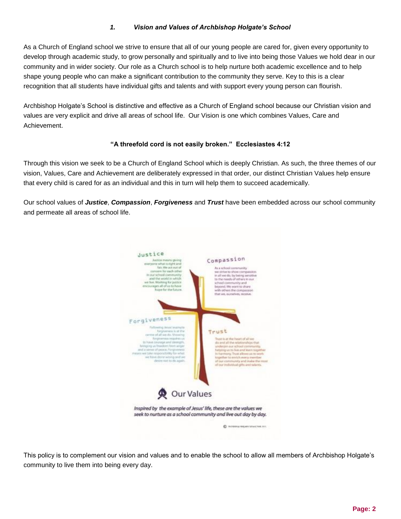# *1. Vision and Values of Archbishop Holgate's School*

<span id="page-2-0"></span>As a Church of England school we strive to ensure that all of our young people are cared for, given every opportunity to develop through academic study, to grow personally and spiritually and to live into being those Values we hold dear in our community and in wider society. Our role as a Church school is to help nurture both academic excellence and to help shape young people who can make a significant contribution to the community they serve. Key to this is a clear recognition that all students have individual gifts and talents and with support every young person can flourish.

Archbishop Holgate's School is distinctive and effective as a Church of England school because our Christian vision and values are very explicit and drive all areas of school life. Our Vision is one which combines Values, Care and Achievement.

#### **"A threefold cord is not easily broken." Ecclesiastes 4:12**

Through this vision we seek to be a Church of England School which is deeply Christian. As such, the three themes of our vision, Values, Care and Achievement are deliberately expressed in that order, our distinct Christian Values help ensure that every child is cared for as an individual and this in turn will help them to succeed academically.

Our school values of *Justice*, *Compassion*, *Forgiveness* and *Trust* have been embedded across our school community and permeate all areas of school life.



This policy is to complement our vision and values and to enable the school to allow all members of Archbishop Holgate's community to live them into being every day.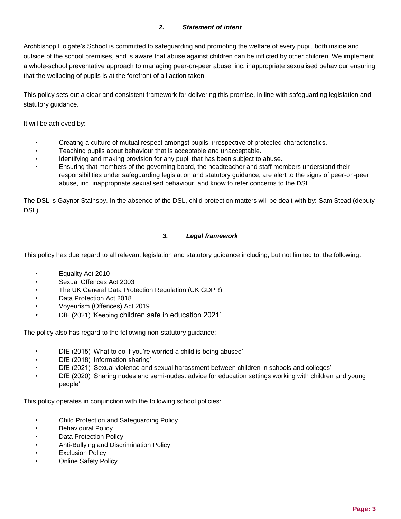## *2. Statement of intent*

<span id="page-3-0"></span>Archbishop Holgate's School is committed to safeguarding and promoting the welfare of every pupil, both inside and outside of the school premises, and is aware that abuse against children can be inflicted by other children. We implement a whole-school preventative approach to managing peer-on-peer abuse, inc. inappropriate sexualised behaviour ensuring that the wellbeing of pupils is at the forefront of all action taken.

This policy sets out a clear and consistent framework for delivering this promise, in line with safeguarding legislation and statutory guidance.

It will be achieved by:

- Creating a culture of mutual respect amongst pupils, irrespective of protected characteristics.
- Teaching pupils about behaviour that is acceptable and unacceptable.
- Identifying and making provision for any pupil that has been subject to abuse.
- Ensuring that members of the governing board, the headteacher and staff members understand their responsibilities under safeguarding legislation and statutory guidance, are alert to the signs of peer-on-peer abuse, inc. inappropriate sexualised behaviour, and know to refer concerns to the DSL.

The DSL is Gaynor Stainsby. In the absence of the DSL, child protection matters will be dealt with by: Sam Stead (deputy DSL).

#### *3. Legal framework*

<span id="page-3-1"></span>This policy has due regard to all relevant legislation and statutory guidance including, but not limited to, the following:

- Equality Act 2010
- Sexual Offences Act 2003
- The UK General Data Protection Regulation (UK GDPR)
- Data Protection Act 2018
- Voyeurism (Offences) Act 2019
- DfE (2021) 'Keeping children safe in education 2021'

The policy also has regard to the following non-statutory guidance:

- DfE (2015) 'What to do if you're worried a child is being abused'
- DfE (2018) 'Information sharing'
- DfE (2021) 'Sexual violence and sexual harassment between children in schools and colleges'
- DfE (2020) 'Sharing nudes and semi-nudes: advice for education settings working with children and young people'

This policy operates in conjunction with the following school policies:

- Child Protection and Safeguarding Policy
- **Behavioural Policy**
- Data Protection Policy
- Anti-Bullying and Discrimination Policy
- **Exclusion Policy**
- Online Safety Policy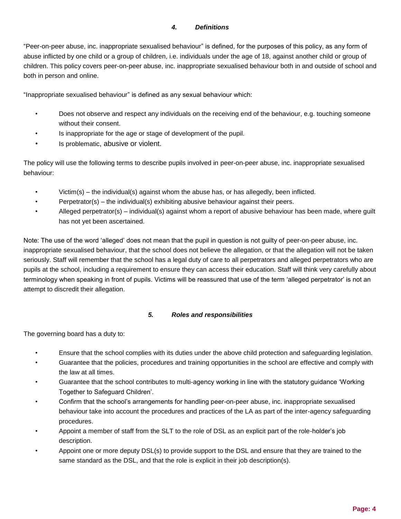#### *4. Definitions*

<span id="page-4-0"></span>"Peer-on-peer abuse, inc. inappropriate sexualised behaviour" is defined, for the purposes of this policy, as any form of abuse inflicted by one child or a group of children, i.e. individuals under the age of 18, against another child or group of children. This policy covers peer-on-peer abuse, inc. inappropriate sexualised behaviour both in and outside of school and both in person and online.

"Inappropriate sexualised behaviour" is defined as any sexual behaviour which:

- Does not observe and respect any individuals on the receiving end of the behaviour, e.g. touching someone without their consent.
- Is inappropriate for the age or stage of development of the pupil.
- Is problematic, abusive or violent.

The policy will use the following terms to describe pupils involved in peer-on-peer abuse, inc. inappropriate sexualised behaviour:

- $Victim(s)$  the individual(s) against whom the abuse has, or has allegedly, been inflicted.
- Perpetrator(s) the individual(s) exhibiting abusive behaviour against their peers.
- Alleged perpetrator(s) individual(s) against whom a report of abusive behaviour has been made, where guilt has not yet been ascertained.

Note: The use of the word 'alleged' does not mean that the pupil in question is not guilty of peer-on-peer abuse, inc. inappropriate sexualised behaviour, that the school does not believe the allegation, or that the allegation will not be taken seriously. Staff will remember that the school has a legal duty of care to all perpetrators and alleged perpetrators who are pupils at the school, including a requirement to ensure they can access their education. Staff will think very carefully about terminology when speaking in front of pupils. Victims will be reassured that use of the term 'alleged perpetrator' is not an attempt to discredit their allegation.

#### *5. Roles and responsibilities*

<span id="page-4-1"></span>The governing board has a duty to:

- Ensure that the school complies with its duties under the above child protection and safeguarding legislation.
- Guarantee that the policies, procedures and training opportunities in the school are effective and comply with the law at all times.
- Guarantee that the school contributes to multi-agency working in line with the statutory guidance 'Working Together to Safeguard Children'.
- Confirm that the school's arrangements for handling peer-on-peer abuse, inc. inappropriate sexualised behaviour take into account the procedures and practices of the LA as part of the inter-agency safeguarding procedures.
- Appoint a member of staff from the SLT to the role of DSL as an explicit part of the role-holder's job description.
- Appoint one or more deputy DSL(s) to provide support to the DSL and ensure that they are trained to the same standard as the DSL, and that the role is explicit in their job description(s).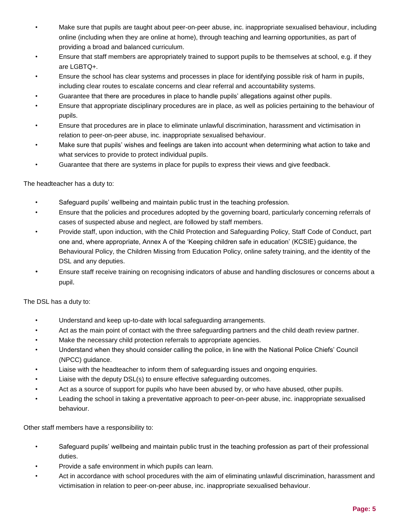- Make sure that pupils are taught about peer-on-peer abuse, inc. inappropriate sexualised behaviour, including online (including when they are online at home), through teaching and learning opportunities, as part of providing a broad and balanced curriculum.
- Ensure that staff members are appropriately trained to support pupils to be themselves at school, e.g. if they are LGBTQ+.
- Ensure the school has clear systems and processes in place for identifying possible risk of harm in pupils, including clear routes to escalate concerns and clear referral and accountability systems.
- Guarantee that there are procedures in place to handle pupils' allegations against other pupils.
- Ensure that appropriate disciplinary procedures are in place, as well as policies pertaining to the behaviour of pupils.
- Ensure that procedures are in place to eliminate unlawful discrimination, harassment and victimisation in relation to peer-on-peer abuse, inc. inappropriate sexualised behaviour.
- Make sure that pupils' wishes and feelings are taken into account when determining what action to take and what services to provide to protect individual pupils.
- Guarantee that there are systems in place for pupils to express their views and give feedback.

The headteacher has a duty to:

- Safeguard pupils' wellbeing and maintain public trust in the teaching profession.
- Ensure that the policies and procedures adopted by the governing board, particularly concerning referrals of cases of suspected abuse and neglect, are followed by staff members.
- Provide staff, upon induction, with the Child Protection and Safeguarding Policy, Staff Code of Conduct, part one and, where appropriate, Annex A of the 'Keeping children safe in education' (KCSIE) guidance, the Behavioural Policy, the Children Missing from Education Policy, online safety training, and the identity of the DSL and any deputies.
- Ensure staff receive training on recognising indicators of abuse and handling disclosures or concerns about a pupil.

The DSL has a duty to:

- Understand and keep up-to-date with local safeguarding arrangements.
- Act as the main point of contact with the three safeguarding partners and the child death review partner.
- Make the necessary child protection referrals to appropriate agencies.
- Understand when they should consider calling the police, in line with the National Police Chiefs' Council (NPCC) guidance.
- Liaise with the headteacher to inform them of safeguarding issues and ongoing enquiries.
- Liaise with the deputy DSL(s) to ensure effective safeguarding outcomes.
- Act as a source of support for pupils who have been abused by, or who have abused, other pupils.
- Leading the school in taking a preventative approach to peer-on-peer abuse, inc. inappropriate sexualised behaviour.

Other staff members have a responsibility to:

- Safeguard pupils' wellbeing and maintain public trust in the teaching profession as part of their professional duties.
- Provide a safe environment in which pupils can learn.
- Act in accordance with school procedures with the aim of eliminating unlawful discrimination, harassment and victimisation in relation to peer-on-peer abuse, inc. inappropriate sexualised behaviour.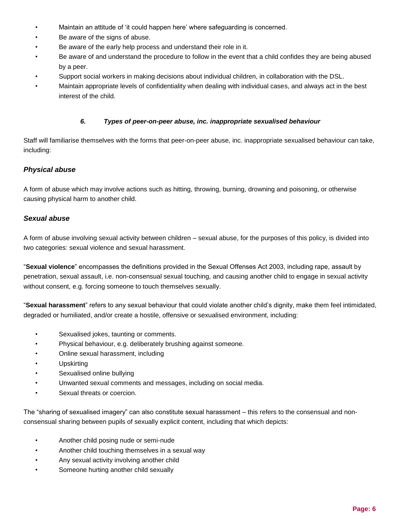- Maintain an attitude of 'it could happen here' where safeguarding is concerned.
- Be aware of the signs of abuse.
- Be aware of the early help process and understand their role in it.
- Be aware of and understand the procedure to follow in the event that a child confides they are being abused by a peer.
- Support social workers in making decisions about individual children, in collaboration with the DSL.
- Maintain appropriate levels of confidentiality when dealing with individual cases, and always act in the best interest of the child.

#### *6. Types of peer-on-peer abuse, inc. inappropriate sexualised behaviour*

<span id="page-6-0"></span>Staff will familiarise themselves with the forms that peer-on-peer abuse, inc. inappropriate sexualised behaviour can take, including:

# <span id="page-6-1"></span>*Physical abuse*

A form of abuse which may involve actions such as hitting, throwing, burning, drowning and poisoning, or otherwise causing physical harm to another child.

#### <span id="page-6-2"></span>*Sexual abuse*

A form of abuse involving sexual activity between children – sexual abuse, for the purposes of this policy, is divided into two categories: sexual violence and sexual harassment.

"**Sexual violence**" encompasses the definitions provided in the Sexual Offenses Act 2003, including rape, assault by penetration, sexual assault, i.e. non-consensual sexual touching, and causing another child to engage in sexual activity without consent, e.g. forcing someone to touch themselves sexually.

"**Sexual harassment**" refers to any sexual behaviour that could violate another child's dignity, make them feel intimidated, degraded or humiliated, and/or create a hostile, offensive or sexualised environment, including:

- Sexualised jokes, taunting or comments.
- Physical behaviour, e.g. deliberately brushing against someone.
- Online sexual harassment, including
- **Upskirting**
- Sexualised online bullying
- Unwanted sexual comments and messages, including on social media.
- Sexual threats or coercion.

The "sharing of sexualised imagery" can also constitute sexual harassment – this refers to the consensual and nonconsensual sharing between pupils of sexually explicit content, including that which depicts:

- Another child posing nude or semi-nude
- Another child touching themselves in a sexual way
- Any sexual activity involving another child
- Someone hurting another child sexually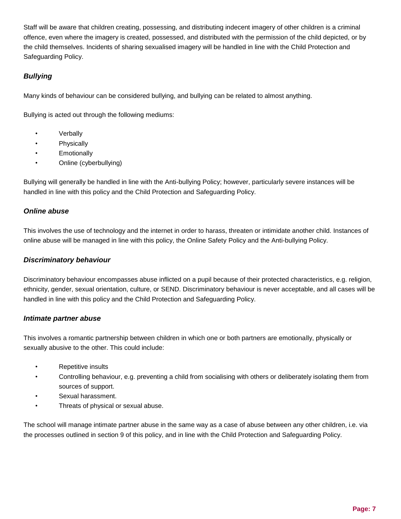Staff will be aware that children creating, possessing, and distributing indecent imagery of other children is a criminal offence, even where the imagery is created, possessed, and distributed with the permission of the child depicted, or by the child themselves. Incidents of sharing sexualised imagery will be handled in line with the Child Protection and Safeguarding Policy.

# <span id="page-7-0"></span>*Bullying*

Many kinds of behaviour can be considered bullying, and bullying can be related to almost anything.

Bullying is acted out through the following mediums:

- **Verbally**
- Physically
- **Emotionally**
- Online (cyberbullying)

Bullying will generally be handled in line with the Anti-bullying Policy; however, particularly severe instances will be handled in line with this policy and the Child Protection and Safeguarding Policy.

# <span id="page-7-1"></span>*Online abuse*

This involves the use of technology and the internet in order to harass, threaten or intimidate another child. Instances of online abuse will be managed in line with this policy, the Online Safety Policy and the Anti-bullying Policy.

#### <span id="page-7-2"></span>*Discriminatory behaviour*

Discriminatory behaviour encompasses abuse inflicted on a pupil because of their protected characteristics, e.g. religion, ethnicity, gender, sexual orientation, culture, or SEND. Discriminatory behaviour is never acceptable, and all cases will be handled in line with this policy and the Child Protection and Safeguarding Policy.

#### <span id="page-7-3"></span>*Intimate partner abuse*

This involves a romantic partnership between children in which one or both partners are emotionally, physically or sexually abusive to the other. This could include:

- Repetitive insults
- Controlling behaviour, e.g. preventing a child from socialising with others or deliberately isolating them from sources of support.
- Sexual harassment.
- Threats of physical or sexual abuse.

The school will manage intimate partner abuse in the same way as a case of abuse between any other children, i.e. via the processes outlined in section 9 of this policy, and in line with the Child Protection and Safeguarding Policy.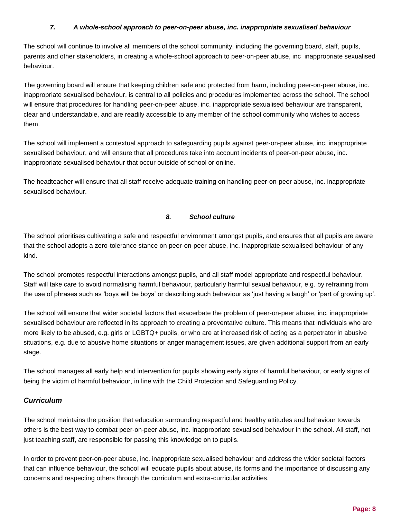#### *7. A whole-school approach to peer-on-peer abuse, inc. inappropriate sexualised behaviour*

<span id="page-8-0"></span>The school will continue to involve all members of the school community, including the governing board, staff, pupils, parents and other stakeholders, in creating a whole-school approach to peer-on-peer abuse, inc inappropriate sexualised behaviour.

The governing board will ensure that keeping children safe and protected from harm, including peer-on-peer abuse, inc. inappropriate sexualised behaviour, is central to all policies and procedures implemented across the school. The school will ensure that procedures for handling peer-on-peer abuse, inc. inappropriate sexualised behaviour are transparent, clear and understandable, and are readily accessible to any member of the school community who wishes to access them.

The school will implement a contextual approach to safeguarding pupils against peer-on-peer abuse, inc. inappropriate sexualised behaviour, and will ensure that all procedures take into account incidents of peer-on-peer abuse, inc. inappropriate sexualised behaviour that occur outside of school or online.

The headteacher will ensure that all staff receive adequate training on handling peer-on-peer abuse, inc. inappropriate sexualised behaviour.

# *8. School culture*

<span id="page-8-1"></span>The school prioritises cultivating a safe and respectful environment amongst pupils, and ensures that all pupils are aware that the school adopts a zero-tolerance stance on peer-on-peer abuse, inc. inappropriate sexualised behaviour of any kind.

The school promotes respectful interactions amongst pupils, and all staff model appropriate and respectful behaviour. Staff will take care to avoid normalising harmful behaviour, particularly harmful sexual behaviour, e.g. by refraining from the use of phrases such as 'boys will be boys' or describing such behaviour as 'just having a laugh' or 'part of growing up'.

The school will ensure that wider societal factors that exacerbate the problem of peer-on-peer abuse, inc. inappropriate sexualised behaviour are reflected in its approach to creating a preventative culture. This means that individuals who are more likely to be abused, e.g. girls or LGBTQ+ pupils, or who are at increased risk of acting as a perpetrator in abusive situations, e.g. due to abusive home situations or anger management issues, are given additional support from an early stage.

The school manages all early help and intervention for pupils showing early signs of harmful behaviour, or early signs of being the victim of harmful behaviour, in line with the Child Protection and Safeguarding Policy.

# <span id="page-8-2"></span>*Curriculum*

The school maintains the position that education surrounding respectful and healthy attitudes and behaviour towards others is the best way to combat peer-on-peer abuse, inc. inappropriate sexualised behaviour in the school. All staff, not just teaching staff, are responsible for passing this knowledge on to pupils.

In order to prevent peer-on-peer abuse, inc. inappropriate sexualised behaviour and address the wider societal factors that can influence behaviour, the school will educate pupils about abuse, its forms and the importance of discussing any concerns and respecting others through the curriculum and extra-curricular activities.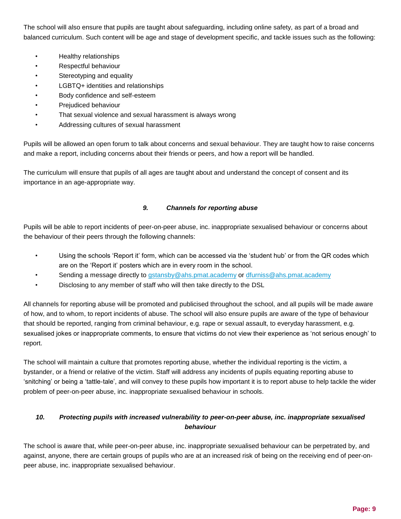The school will also ensure that pupils are taught about safeguarding, including online safety, as part of a broad and balanced curriculum. Such content will be age and stage of development specific, and tackle issues such as the following:

- Healthy relationships
- Respectful behaviour
- Stereotyping and equality
- LGBTQ+ identities and relationships
- Body confidence and self-esteem
- Prejudiced behaviour
- That sexual violence and sexual harassment is always wrong
- Addressing cultures of sexual harassment

Pupils will be allowed an open forum to talk about concerns and sexual behaviour. They are taught how to raise concerns and make a report, including concerns about their friends or peers, and how a report will be handled.

The curriculum will ensure that pupils of all ages are taught about and understand the concept of consent and its importance in an age-appropriate way.

#### *9. Channels for reporting abuse*

<span id="page-9-0"></span>Pupils will be able to report incidents of peer-on-peer abuse, inc. inappropriate sexualised behaviour or concerns about the behaviour of their peers through the following channels:

- Using the schools 'Report it' form, which can be accessed via the 'student hub' or from the QR codes which are on the 'Report it' posters which are in every room in the school.
- Sending a message directly to [gstansby@ahs.pmat.academy](mailto:gstansby@ahs.pmat.academy) or [dfurniss@ahs.pmat.academy](mailto:dfurniss@ahs.pmat.academy)
- Disclosing to any member of staff who will then take directly to the DSL

All channels for reporting abuse will be promoted and publicised throughout the school, and all pupils will be made aware of how, and to whom, to report incidents of abuse. The school will also ensure pupils are aware of the type of behaviour that should be reported, ranging from criminal behaviour, e.g. rape or sexual assault, to everyday harassment, e.g. sexualised jokes or inappropriate comments, to ensure that victims do not view their experience as 'not serious enough' to report.

The school will maintain a culture that promotes reporting abuse, whether the individual reporting is the victim, a bystander, or a friend or relative of the victim. Staff will address any incidents of pupils equating reporting abuse to 'snitching' or being a 'tattle-tale', and will convey to these pupils how important it is to report abuse to help tackle the wider problem of peer-on-peer abuse, inc. inappropriate sexualised behaviour in schools.

# <span id="page-9-1"></span>*10. Protecting pupils with increased vulnerability to peer-on-peer abuse, inc. inappropriate sexualised behaviour*

The school is aware that, while peer-on-peer abuse, inc. inappropriate sexualised behaviour can be perpetrated by, and against, anyone, there are certain groups of pupils who are at an increased risk of being on the receiving end of peer-onpeer abuse, inc. inappropriate sexualised behaviour.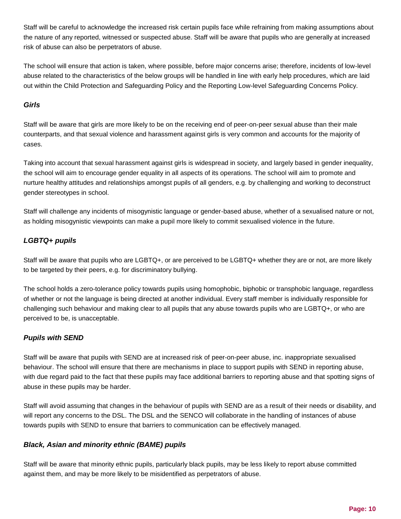Staff will be careful to acknowledge the increased risk certain pupils face while refraining from making assumptions about the nature of any reported, witnessed or suspected abuse. Staff will be aware that pupils who are generally at increased risk of abuse can also be perpetrators of abuse.

The school will ensure that action is taken, where possible, before major concerns arise; therefore, incidents of low-level abuse related to the characteristics of the below groups will be handled in line with early help procedures, which are laid out within the Child Protection and Safeguarding Policy and the Reporting Low-level Safeguarding Concerns Policy.

# <span id="page-10-0"></span>*Girls*

Staff will be aware that girls are more likely to be on the receiving end of peer-on-peer sexual abuse than their male counterparts, and that sexual violence and harassment against girls is very common and accounts for the majority of cases.

Taking into account that sexual harassment against girls is widespread in society, and largely based in gender inequality, the school will aim to encourage gender equality in all aspects of its operations. The school will aim to promote and nurture healthy attitudes and relationships amongst pupils of all genders, e.g. by challenging and working to deconstruct gender stereotypes in school.

Staff will challenge any incidents of misogynistic language or gender-based abuse, whether of a sexualised nature or not, as holding misogynistic viewpoints can make a pupil more likely to commit sexualised violence in the future.

# <span id="page-10-1"></span>*LGBTQ+ pupils*

Staff will be aware that pupils who are LGBTQ+, or are perceived to be LGBTQ+ whether they are or not, are more likely to be targeted by their peers, e.g. for discriminatory bullying.

The school holds a zero-tolerance policy towards pupils using homophobic, biphobic or transphobic language, regardless of whether or not the language is being directed at another individual. Every staff member is individually responsible for challenging such behaviour and making clear to all pupils that any abuse towards pupils who are LGBTQ+, or who are perceived to be, is unacceptable.

# <span id="page-10-2"></span>*Pupils with SEND*

Staff will be aware that pupils with SEND are at increased risk of peer-on-peer abuse, inc. inappropriate sexualised behaviour. The school will ensure that there are mechanisms in place to support pupils with SEND in reporting abuse, with due regard paid to the fact that these pupils may face additional barriers to reporting abuse and that spotting signs of abuse in these pupils may be harder.

Staff will avoid assuming that changes in the behaviour of pupils with SEND are as a result of their needs or disability, and will report any concerns to the DSL. The DSL and the SENCO will collaborate in the handling of instances of abuse towards pupils with SEND to ensure that barriers to communication can be effectively managed.

# <span id="page-10-3"></span>*Black, Asian and minority ethnic (BAME) pupils*

Staff will be aware that minority ethnic pupils, particularly black pupils, may be less likely to report abuse committed against them, and may be more likely to be misidentified as perpetrators of abuse.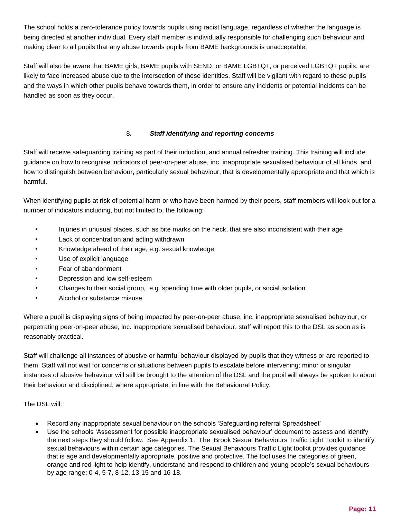The school holds a zero-tolerance policy towards pupils using racist language, regardless of whether the language is being directed at another individual. Every staff member is individually responsible for challenging such behaviour and making clear to all pupils that any abuse towards pupils from BAME backgrounds is unacceptable.

Staff will also be aware that BAME girls, BAME pupils with SEND, or BAME LGBTQ+, or perceived LGBTQ+ pupils, are likely to face increased abuse due to the intersection of these identities. Staff will be vigilant with regard to these pupils and the ways in which other pupils behave towards them, in order to ensure any incidents or potential incidents can be handled as soon as they occur.

# 8*. Staff identifying and reporting concerns*

Staff will receive safeguarding training as part of their induction, and annual refresher training. This training will include guidance on how to recognise indicators of peer-on-peer abuse, inc. inappropriate sexualised behaviour of all kinds, and how to distinguish between behaviour, particularly sexual behaviour, that is developmentally appropriate and that which is harmful.

When identifying pupils at risk of potential harm or who have been harmed by their peers, staff members will look out for a number of indicators including, but not limited to, the following:

- Injuries in unusual places, such as bite marks on the neck, that are also inconsistent with their age
- Lack of concentration and acting withdrawn
- Knowledge ahead of their age, e.g. sexual knowledge
- Use of explicit language
- Fear of abandonment
- Depression and low self-esteem
- Changes to their social group, e.g. spending time with older pupils, or social isolation
- Alcohol or substance misuse

Where a pupil is displaying signs of being impacted by peer-on-peer abuse, inc. inappropriate sexualised behaviour, or perpetrating peer-on-peer abuse, inc. inappropriate sexualised behaviour, staff will report this to the DSL as soon as is reasonably practical.

Staff will challenge all instances of abusive or harmful behaviour displayed by pupils that they witness or are reported to them. Staff will not wait for concerns or situations between pupils to escalate before intervening; minor or singular instances of abusive behaviour will still be brought to the attention of the DSL and the pupil will always be spoken to about their behaviour and disciplined, where appropriate, in line with the Behavioural Policy.

# The DSL will:

- Record any inappropriate sexual behaviour on the schools 'Safeguarding referral Spreadsheet'
- Use the schools 'Assessment for possible inappropriate sexualised behaviour' document to assess and identify the next steps they should follow. See Appendix 1. The Brook Sexual Behaviours Traffic Light Toolkit to identify sexual behaviours within certain age categories. The Sexual Behaviours Traffic Light toolkit provides guidance that is age and developmentally appropriate, positive and protective. The tool uses the categories of green, orange and red light to help identify, understand and respond to children and young people's sexual behaviours by age range; 0-4, 5-7, 8-12, 13-15 and 16-18.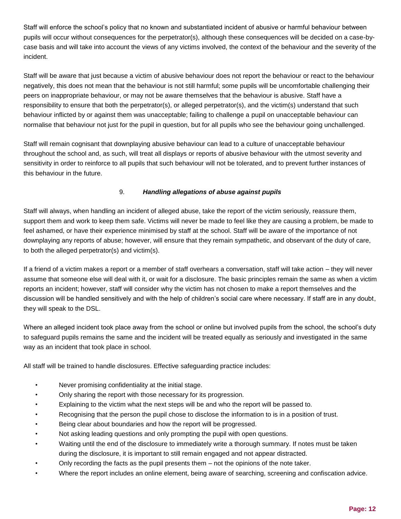Staff will enforce the school's policy that no known and substantiated incident of abusive or harmful behaviour between pupils will occur without consequences for the perpetrator(s), although these consequences will be decided on a case-bycase basis and will take into account the views of any victims involved, the context of the behaviour and the severity of the incident.

Staff will be aware that just because a victim of abusive behaviour does not report the behaviour or react to the behaviour negatively, this does not mean that the behaviour is not still harmful; some pupils will be uncomfortable challenging their peers on inappropriate behaviour, or may not be aware themselves that the behaviour is abusive. Staff have a responsibility to ensure that both the perpetrator(s), or alleged perpetrator(s), and the victim(s) understand that such behaviour inflicted by or against them was unacceptable; failing to challenge a pupil on unacceptable behaviour can normalise that behaviour not just for the pupil in question, but for all pupils who see the behaviour going unchallenged.

Staff will remain cognisant that downplaying abusive behaviour can lead to a culture of unacceptable behaviour throughout the school and, as such, will treat all displays or reports of abusive behaviour with the utmost severity and sensitivity in order to reinforce to all pupils that such behaviour will not be tolerated, and to prevent further instances of this behaviour in the future.

# 9. *Handling allegations of abuse against pupils*

Staff will always, when handling an incident of alleged abuse, take the report of the victim seriously, reassure them, support them and work to keep them safe. Victims will never be made to feel like they are causing a problem, be made to feel ashamed, or have their experience minimised by staff at the school. Staff will be aware of the importance of not downplaying any reports of abuse; however, will ensure that they remain sympathetic, and observant of the duty of care, to both the alleged perpetrator(s) and victim(s).

If a friend of a victim makes a report or a member of staff overhears a conversation, staff will take action – they will never assume that someone else will deal with it, or wait for a disclosure. The basic principles remain the same as when a victim reports an incident; however, staff will consider why the victim has not chosen to make a report themselves and the discussion will be handled sensitively and with the help of children's social care where necessary. If staff are in any doubt, they will speak to the DSL.

Where an alleged incident took place away from the school or online but involved pupils from the school, the school's duty to safeguard pupils remains the same and the incident will be treated equally as seriously and investigated in the same way as an incident that took place in school.

All staff will be trained to handle disclosures. Effective safeguarding practice includes:

- Never promising confidentiality at the initial stage.
- Only sharing the report with those necessary for its progression.
- Explaining to the victim what the next steps will be and who the report will be passed to.
- Recognising that the person the pupil chose to disclose the information to is in a position of trust.
- Being clear about boundaries and how the report will be progressed.
- Not asking leading questions and only prompting the pupil with open questions.
- Waiting until the end of the disclosure to immediately write a thorough summary. If notes must be taken during the disclosure, it is important to still remain engaged and not appear distracted.
- Only recording the facts as the pupil presents them not the opinions of the note taker.
- Where the report includes an online element, being aware of searching, screening and confiscation advice.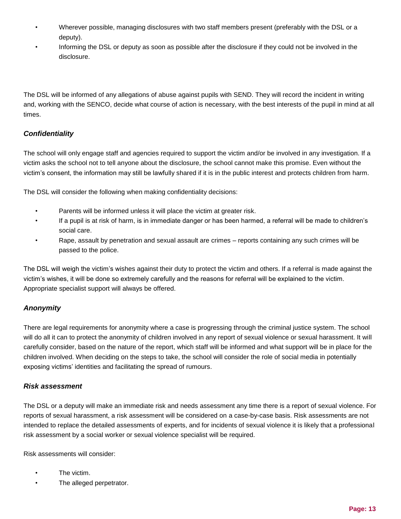- Wherever possible, managing disclosures with two staff members present (preferably with the DSL or a deputy).
- Informing the DSL or deputy as soon as possible after the disclosure if they could not be involved in the disclosure.

The DSL will be informed of any allegations of abuse against pupils with SEND. They will record the incident in writing and, working with the SENCO, decide what course of action is necessary, with the best interests of the pupil in mind at all times.

# <span id="page-13-0"></span>*Confidentiality*

The school will only engage staff and agencies required to support the victim and/or be involved in any investigation. If a victim asks the school not to tell anyone about the disclosure, the school cannot make this promise. Even without the victim's consent, the information may still be lawfully shared if it is in the public interest and protects children from harm.

The DSL will consider the following when making confidentiality decisions:

- Parents will be informed unless it will place the victim at greater risk.
- If a pupil is at risk of harm, is in immediate danger or has been harmed, a referral will be made to children's social care.
- Rape, assault by penetration and sexual assault are crimes reports containing any such crimes will be passed to the police.

The DSL will weigh the victim's wishes against their duty to protect the victim and others. If a referral is made against the victim's wishes, it will be done so extremely carefully and the reasons for referral will be explained to the victim. Appropriate specialist support will always be offered.

# <span id="page-13-1"></span>*Anonymity*

There are legal requirements for anonymity where a case is progressing through the criminal justice system. The school will do all it can to protect the anonymity of children involved in any report of sexual violence or sexual harassment. It will carefully consider, based on the nature of the report, which staff will be informed and what support will be in place for the children involved. When deciding on the steps to take, the school will consider the role of social media in potentially exposing victims' identities and facilitating the spread of rumours.

# <span id="page-13-2"></span>*Risk assessment*

The DSL or a deputy will make an immediate risk and needs assessment any time there is a report of sexual violence. For reports of sexual harassment, a risk assessment will be considered on a case-by-case basis. Risk assessments are not intended to replace the detailed assessments of experts, and for incidents of sexual violence it is likely that a professional risk assessment by a social worker or sexual violence specialist will be required.

Risk assessments will consider:

- The victim.
- The alleged perpetrator.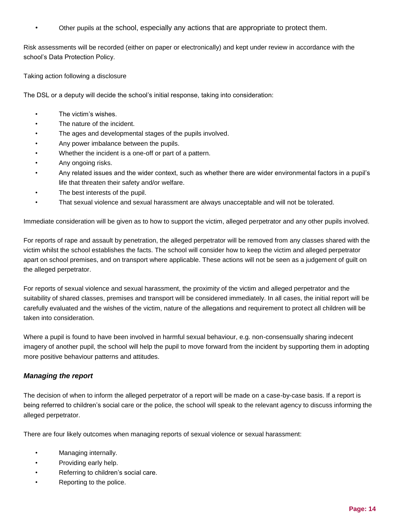• Other pupils at the school, especially any actions that are appropriate to protect them.

Risk assessments will be recorded (either on paper or electronically) and kept under review in accordance with the school's Data Protection Policy.

Taking action following a disclosure

The DSL or a deputy will decide the school's initial response, taking into consideration:

- The victim's wishes.
- The nature of the incident.
- The ages and developmental stages of the pupils involved.
- Any power imbalance between the pupils.
- Whether the incident is a one-off or part of a pattern.
- Any ongoing risks.
- Any related issues and the wider context, such as whether there are wider environmental factors in a pupil's life that threaten their safety and/or welfare.
- The best interests of the pupil.
- That sexual violence and sexual harassment are always unacceptable and will not be tolerated.

Immediate consideration will be given as to how to support the victim, alleged perpetrator and any other pupils involved.

For reports of rape and assault by penetration, the alleged perpetrator will be removed from any classes shared with the victim whilst the school establishes the facts. The school will consider how to keep the victim and alleged perpetrator apart on school premises, and on transport where applicable. These actions will not be seen as a judgement of guilt on the alleged perpetrator.

For reports of sexual violence and sexual harassment, the proximity of the victim and alleged perpetrator and the suitability of shared classes, premises and transport will be considered immediately. In all cases, the initial report will be carefully evaluated and the wishes of the victim, nature of the allegations and requirement to protect all children will be taken into consideration.

Where a pupil is found to have been involved in harmful sexual behaviour, e.g. non-consensually sharing indecent imagery of another pupil, the school will help the pupil to move forward from the incident by supporting them in adopting more positive behaviour patterns and attitudes.

#### <span id="page-14-0"></span>*Managing the report*

The decision of when to inform the alleged perpetrator of a report will be made on a case-by-case basis. If a report is being referred to children's social care or the police, the school will speak to the relevant agency to discuss informing the alleged perpetrator.

There are four likely outcomes when managing reports of sexual violence or sexual harassment:

- Managing internally.
- Providing early help.
- Referring to children's social care.
- Reporting to the police.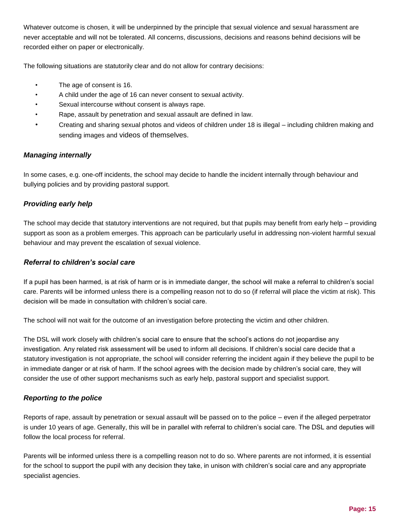Whatever outcome is chosen, it will be underpinned by the principle that sexual violence and sexual harassment are never acceptable and will not be tolerated. All concerns, discussions, decisions and reasons behind decisions will be recorded either on paper or electronically.

The following situations are statutorily clear and do not allow for contrary decisions:

- The age of consent is 16.
- A child under the age of 16 can never consent to sexual activity.
- Sexual intercourse without consent is always rape.
- Rape, assault by penetration and sexual assault are defined in law.
- Creating and sharing sexual photos and videos of children under 18 is illegal including children making and sending images and videos of themselves.

#### <span id="page-15-0"></span>*Managing internally*

In some cases, e.g. one-off incidents, the school may decide to handle the incident internally through behaviour and bullying policies and by providing pastoral support.

# <span id="page-15-1"></span>*Providing early help*

The school may decide that statutory interventions are not required, but that pupils may benefit from early help – providing support as soon as a problem emerges. This approach can be particularly useful in addressing non-violent harmful sexual behaviour and may prevent the escalation of sexual violence.

#### <span id="page-15-2"></span>*Referral to children's social care*

If a pupil has been harmed, is at risk of harm or is in immediate danger, the school will make a referral to children's social care. Parents will be informed unless there is a compelling reason not to do so (if referral will place the victim at risk). This decision will be made in consultation with children's social care.

The school will not wait for the outcome of an investigation before protecting the victim and other children.

The DSL will work closely with children's social care to ensure that the school's actions do not jeopardise any investigation. Any related risk assessment will be used to inform all decisions. If children's social care decide that a statutory investigation is not appropriate, the school will consider referring the incident again if they believe the pupil to be in immediate danger or at risk of harm. If the school agrees with the decision made by children's social care, they will consider the use of other support mechanisms such as early help, pastoral support and specialist support.

#### <span id="page-15-3"></span>*Reporting to the police*

Reports of rape, assault by penetration or sexual assault will be passed on to the police – even if the alleged perpetrator is under 10 years of age. Generally, this will be in parallel with referral to children's social care. The DSL and deputies will follow the local process for referral.

Parents will be informed unless there is a compelling reason not to do so. Where parents are not informed, it is essential for the school to support the pupil with any decision they take, in unison with children's social care and any appropriate specialist agencies.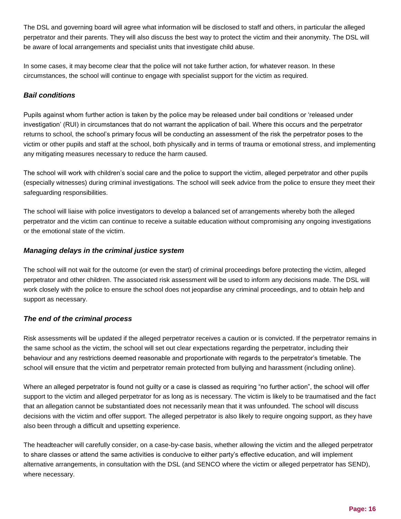The DSL and governing board will agree what information will be disclosed to staff and others, in particular the alleged perpetrator and their parents. They will also discuss the best way to protect the victim and their anonymity. The DSL will be aware of local arrangements and specialist units that investigate child abuse.

In some cases, it may become clear that the police will not take further action, for whatever reason. In these circumstances, the school will continue to engage with specialist support for the victim as required.

# <span id="page-16-0"></span>*Bail conditions*

Pupils against whom further action is taken by the police may be released under bail conditions or 'released under investigation' (RUI) in circumstances that do not warrant the application of bail. Where this occurs and the perpetrator returns to school, the school's primary focus will be conducting an assessment of the risk the perpetrator poses to the victim or other pupils and staff at the school, both physically and in terms of trauma or emotional stress, and implementing any mitigating measures necessary to reduce the harm caused.

The school will work with children's social care and the police to support the victim, alleged perpetrator and other pupils (especially witnesses) during criminal investigations. The school will seek advice from the police to ensure they meet their safeguarding responsibilities.

The school will liaise with police investigators to develop a balanced set of arrangements whereby both the alleged perpetrator and the victim can continue to receive a suitable education without compromising any ongoing investigations or the emotional state of the victim.

# <span id="page-16-1"></span>*Managing delays in the criminal justice system*

The school will not wait for the outcome (or even the start) of criminal proceedings before protecting the victim, alleged perpetrator and other children. The associated risk assessment will be used to inform any decisions made. The DSL will work closely with the police to ensure the school does not jeopardise any criminal proceedings, and to obtain help and support as necessary.

# <span id="page-16-2"></span>*The end of the criminal process*

Risk assessments will be updated if the alleged perpetrator receives a caution or is convicted. If the perpetrator remains in the same school as the victim, the school will set out clear expectations regarding the perpetrator, including their behaviour and any restrictions deemed reasonable and proportionate with regards to the perpetrator's timetable. The school will ensure that the victim and perpetrator remain protected from bullying and harassment (including online).

Where an alleged perpetrator is found not guilty or a case is classed as requiring "no further action", the school will offer support to the victim and alleged perpetrator for as long as is necessary. The victim is likely to be traumatised and the fact that an allegation cannot be substantiated does not necessarily mean that it was unfounded. The school will discuss decisions with the victim and offer support. The alleged perpetrator is also likely to require ongoing support, as they have also been through a difficult and upsetting experience.

The headteacher will carefully consider, on a case-by-case basis, whether allowing the victim and the alleged perpetrator to share classes or attend the same activities is conducive to either party's effective education, and will implement alternative arrangements, in consultation with the DSL (and SENCO where the victim or alleged perpetrator has SEND), where necessary.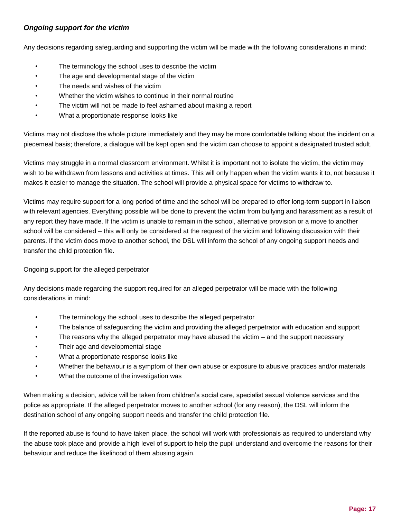# <span id="page-17-0"></span>*Ongoing support for the victim*

Any decisions regarding safeguarding and supporting the victim will be made with the following considerations in mind:

- The terminology the school uses to describe the victim
- The age and developmental stage of the victim
- The needs and wishes of the victim
- Whether the victim wishes to continue in their normal routine
- The victim will not be made to feel ashamed about making a report
- What a proportionate response looks like

Victims may not disclose the whole picture immediately and they may be more comfortable talking about the incident on a piecemeal basis; therefore, a dialogue will be kept open and the victim can choose to appoint a designated trusted adult.

Victims may struggle in a normal classroom environment. Whilst it is important not to isolate the victim, the victim may wish to be withdrawn from lessons and activities at times. This will only happen when the victim wants it to, not because it makes it easier to manage the situation. The school will provide a physical space for victims to withdraw to.

Victims may require support for a long period of time and the school will be prepared to offer long-term support in liaison with relevant agencies. Everything possible will be done to prevent the victim from bullying and harassment as a result of any report they have made. If the victim is unable to remain in the school, alternative provision or a move to another school will be considered – this will only be considered at the request of the victim and following discussion with their parents. If the victim does move to another school, the DSL will inform the school of any ongoing support needs and transfer the child protection file.

Ongoing support for the alleged perpetrator

Any decisions made regarding the support required for an alleged perpetrator will be made with the following considerations in mind:

- The terminology the school uses to describe the alleged perpetrator
- The balance of safeguarding the victim and providing the alleged perpetrator with education and support
- The reasons why the alleged perpetrator may have abused the victim and the support necessary
- Their age and developmental stage
- What a proportionate response looks like
- Whether the behaviour is a symptom of their own abuse or exposure to abusive practices and/or materials
- What the outcome of the investigation was

When making a decision, advice will be taken from children's social care, specialist sexual violence services and the police as appropriate. If the alleged perpetrator moves to another school (for any reason), the DSL will inform the destination school of any ongoing support needs and transfer the child protection file.

If the reported abuse is found to have taken place, the school will work with professionals as required to understand why the abuse took place and provide a high level of support to help the pupil understand and overcome the reasons for their behaviour and reduce the likelihood of them abusing again.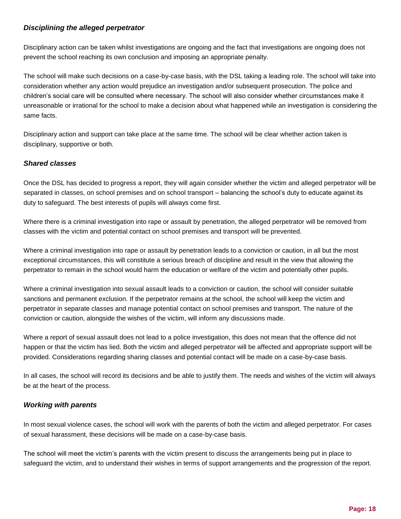# <span id="page-18-0"></span>*Disciplining the alleged perpetrator*

Disciplinary action can be taken whilst investigations are ongoing and the fact that investigations are ongoing does not prevent the school reaching its own conclusion and imposing an appropriate penalty.

The school will make such decisions on a case-by-case basis, with the DSL taking a leading role. The school will take into consideration whether any action would prejudice an investigation and/or subsequent prosecution. The police and children's social care will be consulted where necessary. The school will also consider whether circumstances make it unreasonable or irrational for the school to make a decision about what happened while an investigation is considering the same facts.

Disciplinary action and support can take place at the same time. The school will be clear whether action taken is disciplinary, supportive or both.

#### <span id="page-18-1"></span>*Shared classes*

Once the DSL has decided to progress a report, they will again consider whether the victim and alleged perpetrator will be separated in classes, on school premises and on school transport – balancing the school's duty to educate against its duty to safeguard. The best interests of pupils will always come first.

Where there is a criminal investigation into rape or assault by penetration, the alleged perpetrator will be removed from classes with the victim and potential contact on school premises and transport will be prevented.

Where a criminal investigation into rape or assault by penetration leads to a conviction or caution, in all but the most exceptional circumstances, this will constitute a serious breach of discipline and result in the view that allowing the perpetrator to remain in the school would harm the education or welfare of the victim and potentially other pupils.

Where a criminal investigation into sexual assault leads to a conviction or caution, the school will consider suitable sanctions and permanent exclusion. If the perpetrator remains at the school, the school will keep the victim and perpetrator in separate classes and manage potential contact on school premises and transport. The nature of the conviction or caution, alongside the wishes of the victim, will inform any discussions made.

Where a report of sexual assault does not lead to a police investigation, this does not mean that the offence did not happen or that the victim has lied. Both the victim and alleged perpetrator will be affected and appropriate support will be provided. Considerations regarding sharing classes and potential contact will be made on a case-by-case basis.

In all cases, the school will record its decisions and be able to justify them. The needs and wishes of the victim will always be at the heart of the process.

# <span id="page-18-2"></span>*Working with parents*

In most sexual violence cases, the school will work with the parents of both the victim and alleged perpetrator. For cases of sexual harassment, these decisions will be made on a case-by-case basis.

The school will meet the victim's parents with the victim present to discuss the arrangements being put in place to safeguard the victim, and to understand their wishes in terms of support arrangements and the progression of the report.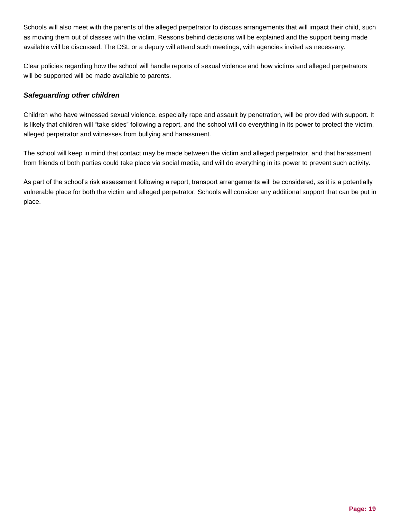Schools will also meet with the parents of the alleged perpetrator to discuss arrangements that will impact their child, such as moving them out of classes with the victim. Reasons behind decisions will be explained and the support being made available will be discussed. The DSL or a deputy will attend such meetings, with agencies invited as necessary.

Clear policies regarding how the school will handle reports of sexual violence and how victims and alleged perpetrators will be supported will be made available to parents.

# <span id="page-19-0"></span>*Safeguarding other children*

Children who have witnessed sexual violence, especially rape and assault by penetration, will be provided with support. It is likely that children will "take sides" following a report, and the school will do everything in its power to protect the victim, alleged perpetrator and witnesses from bullying and harassment.

The school will keep in mind that contact may be made between the victim and alleged perpetrator, and that harassment from friends of both parties could take place via social media, and will do everything in its power to prevent such activity.

As part of the school's risk assessment following a report, transport arrangements will be considered, as it is a potentially vulnerable place for both the victim and alleged perpetrator. Schools will consider any additional support that can be put in place.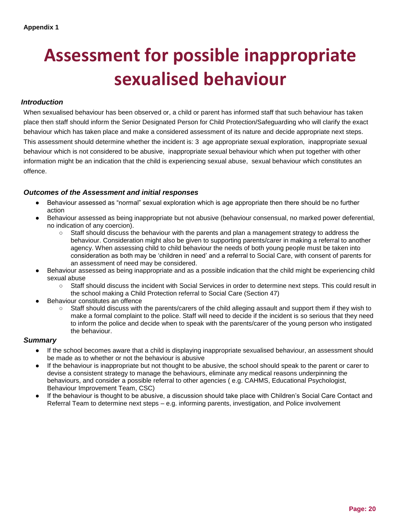# **Assessment for possible inappropriate sexualised behaviour**

## *Introduction*

When sexualised behaviour has been observed or, a child or parent has informed staff that such behaviour has taken place then staff should inform the Senior Designated Person for Child Protection/Safeguarding who will clarify the exact behaviour which has taken place and make a considered assessment of its nature and decide appropriate next steps. This assessment should determine whether the incident is: 3 age appropriate sexual exploration, inappropriate sexual behaviour which is not considered to be abusive, inappropriate sexual behaviour which when put together with other information might be an indication that the child is experiencing sexual abuse, sexual behaviour which constitutes an offence.

#### *Outcomes of the Assessment and initial responses*

- Behaviour assessed as "normal" sexual exploration which is age appropriate then there should be no further action
- Behaviour assessed as being inappropriate but not abusive (behaviour consensual, no marked power deferential, no indication of any coercion).
	- Staff should discuss the behaviour with the parents and plan a management strategy to address the behaviour. Consideration might also be given to supporting parents/carer in making a referral to another agency. When assessing child to child behaviour the needs of both young people must be taken into consideration as both may be 'children in need' and a referral to Social Care, with consent of parents for an assessment of need may be considered.
- Behaviour assessed as being inappropriate and as a possible indication that the child might be experiencing child sexual abuse
	- Staff should discuss the incident with Social Services in order to determine next steps. This could result in the school making a Child Protection referral to Social Care (Section 47)
- Behaviour constitutes an offence
	- Staff should discuss with the parents/carers of the child alleging assault and support them if they wish to make a formal complaint to the police. Staff will need to decide if the incident is so serious that they need to inform the police and decide when to speak with the parents/carer of the young person who instigated the behaviour.

#### *Summary*

- If the school becomes aware that a child is displaying inappropriate sexualised behaviour, an assessment should be made as to whether or not the behaviour is abusive
- If the behaviour is inappropriate but not thought to be abusive, the school should speak to the parent or carer to devise a consistent strategy to manage the behaviours, eliminate any medical reasons underpinning the behaviours, and consider a possible referral to other agencies ( e.g. CAHMS, Educational Psychologist, Behaviour Improvement Team, CSC)
- If the behaviour is thought to be abusive, a discussion should take place with Children's Social Care Contact and Referral Team to determine next steps – e.g. informing parents, investigation, and Police involvement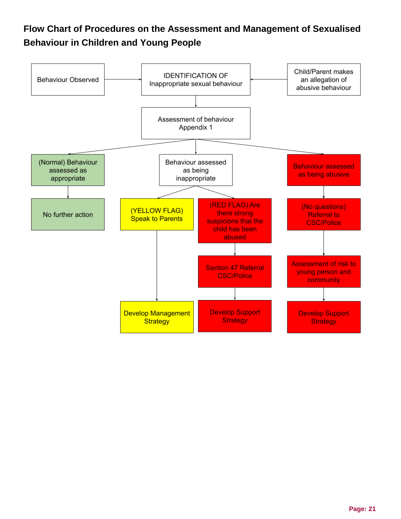# **Flow Chart of Procedures on the Assessment and Management of Sexualised Behaviour in Children and Young People**

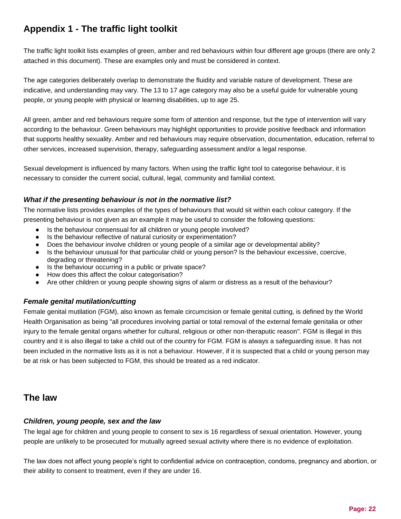# **Appendix 1 - The traffic light toolkit**

The traffic light toolkit lists examples of green, amber and red behaviours within four different age groups (there are only 2 attached in this document). These are examples only and must be considered in context.

The age categories deliberately overlap to demonstrate the fluidity and variable nature of development. These are indicative, and understanding may vary. The 13 to 17 age category may also be a useful guide for vulnerable young people, or young people with physical or learning disabilities, up to age 25.

All green, amber and red behaviours require some form of attention and response, but the type of intervention will vary according to the behaviour. Green behaviours may highlight opportunities to provide positive feedback and information that supports healthy sexuality. Amber and red behaviours may require observation, documentation, education, referral to other services, increased supervision, therapy, safeguarding assessment and/or a legal response.

Sexual development is influenced by many factors. When using the traffic light tool to categorise behaviour, it is necessary to consider the current social, cultural, legal, community and familial context.

# *What if the presenting behaviour is not in the normative list?*

The normative lists provides examples of the types of behaviours that would sit within each colour category. If the presenting behaviour is not given as an example it may be useful to consider the following questions:

- Is the behaviour consensual for all children or young people involved?
- Is the behaviour reflective of natural curiosity or experimentation?
- Does the behaviour involve children or young people of a similar age or developmental ability?
- Is the behaviour unusual for that particular child or young person? Is the behaviour excessive, coercive, degrading or threatening?
- Is the behaviour occurring in a public or private space?
- How does this affect the colour categorisation?
- Are other children or young people showing signs of alarm or distress as a result of the behaviour?

# *Female genital mutilation/cutting*

Female genital mutilation (FGM), also known as female circumcision or female genital cutting, is defined by the World Health Organisation as being "all procedures involving partial or total removal of the external female genitalia or other injury to the female genital organs whether for cultural, religious or other non-theraputic reason". FGM is illegal in this country and it is also illegal to take a child out of the country for FGM. FGM is always a safeguarding issue. It has not been included in the normative lists as it is not a behaviour. However, if it is suspected that a child or young person may be at risk or has been subjected to FGM, this should be treated as a red indicator.

# **The law**

# *Children, young people, sex and the law*

The legal age for children and young people to consent to sex is 16 regardless of sexual orientation. However, young people are unlikely to be prosecuted for mutually agreed sexual activity where there is no evidence of exploitation.

The law does not affect young people's right to confidential advice on contraception, condoms, pregnancy and abortion, or their ability to consent to treatment, even if they are under 16.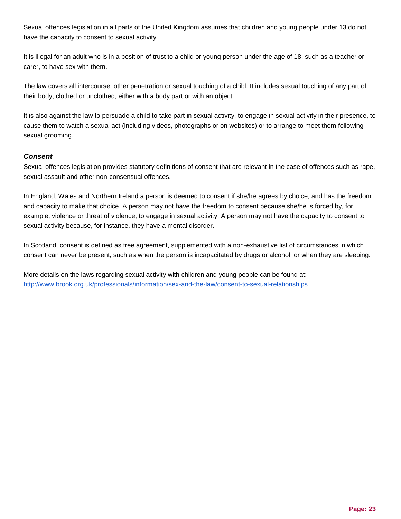Sexual offences legislation in all parts of the United Kingdom assumes that children and young people under 13 do not have the capacity to consent to sexual activity.

It is illegal for an adult who is in a position of trust to a child or young person under the age of 18, such as a teacher or carer, to have sex with them.

The law covers all intercourse, other penetration or sexual touching of a child. It includes sexual touching of any part of their body, clothed or unclothed, either with a body part or with an object.

It is also against the law to persuade a child to take part in sexual activity, to engage in sexual activity in their presence, to cause them to watch a sexual act (including videos, photographs or on websites) or to arrange to meet them following sexual grooming.

# *Consent*

Sexual offences legislation provides statutory definitions of consent that are relevant in the case of offences such as rape, sexual assault and other non-consensual offences.

In England, Wales and Northern Ireland a person is deemed to consent if she/he agrees by choice, and has the freedom and capacity to make that choice. A person may not have the freedom to consent because she/he is forced by, for example, violence or threat of violence, to engage in sexual activity. A person may not have the capacity to consent to sexual activity because, for instance, they have a mental disorder.

In Scotland, consent is defined as free agreement, supplemented with a non-exhaustive list of circumstances in which consent can never be present, such as when the person is incapacitated by drugs or alcohol, or when they are sleeping.

More details on the laws regarding sexual activity with children and young people can be found at: <http://www.brook.org.uk/professionals/information/sex-and-the-law/consent-to-sexual-relationships>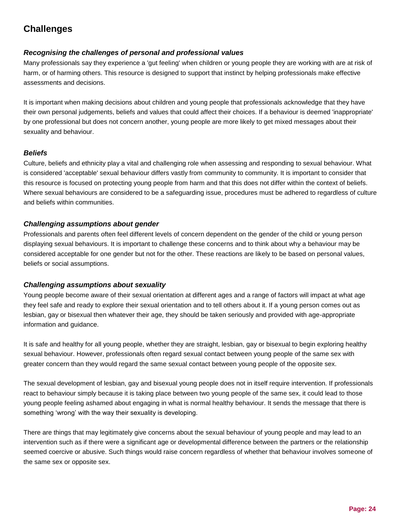# **Challenges**

# *Recognising the challenges of personal and professional values*

Many professionals say they experience a 'gut feeling' when children or young people they are working with are at risk of harm, or of harming others. This resource is designed to support that instinct by helping professionals make effective assessments and decisions.

It is important when making decisions about children and young people that professionals acknowledge that they have their own personal judgements, beliefs and values that could affect their choices. If a behaviour is deemed 'inappropriate' by one professional but does not concern another, young people are more likely to get mixed messages about their sexuality and behaviour.

# *Beliefs*

Culture, beliefs and ethnicity play a vital and challenging role when assessing and responding to sexual behaviour. What is considered 'acceptable' sexual behaviour differs vastly from community to community. It is important to consider that this resource is focused on protecting young people from harm and that this does not differ within the context of beliefs. Where sexual behaviours are considered to be a safeguarding issue, procedures must be adhered to regardless of culture and beliefs within communities.

#### *Challenging assumptions about gender*

Professionals and parents often feel different levels of concern dependent on the gender of the child or young person displaying sexual behaviours. It is important to challenge these concerns and to think about why a behaviour may be considered acceptable for one gender but not for the other. These reactions are likely to be based on personal values, beliefs or social assumptions.

# *Challenging assumptions about sexuality*

Young people become aware of their sexual orientation at different ages and a range of factors will impact at what age they feel safe and ready to explore their sexual orientation and to tell others about it. If a young person comes out as lesbian, gay or bisexual then whatever their age, they should be taken seriously and provided with age-appropriate information and guidance.

It is safe and healthy for all young people, whether they are straight, lesbian, gay or bisexual to begin exploring healthy sexual behaviour. However, professionals often regard sexual contact between young people of the same sex with greater concern than they would regard the same sexual contact between young people of the opposite sex.

The sexual development of lesbian, gay and bisexual young people does not in itself require intervention. If professionals react to behaviour simply because it is taking place between two young people of the same sex, it could lead to those young people feeling ashamed about engaging in what is normal healthy behaviour. It sends the message that there is something 'wrong' with the way their sexuality is developing.

There are things that may legitimately give concerns about the sexual behaviour of young people and may lead to an intervention such as if there were a significant age or developmental difference between the partners or the relationship seemed coercive or abusive. Such things would raise concern regardless of whether that behaviour involves someone of the same sex or opposite sex.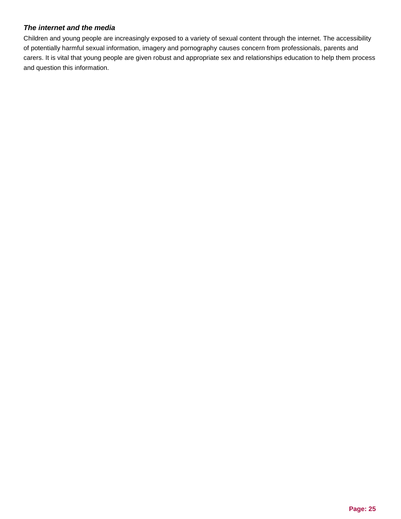# *The internet and the media*

Children and young people are increasingly exposed to a variety of sexual content through the internet. The accessibility of potentially harmful sexual information, imagery and pornography causes concern from professionals, parents and carers. It is vital that young people are given robust and appropriate sex and relationships education to help them process and question this information.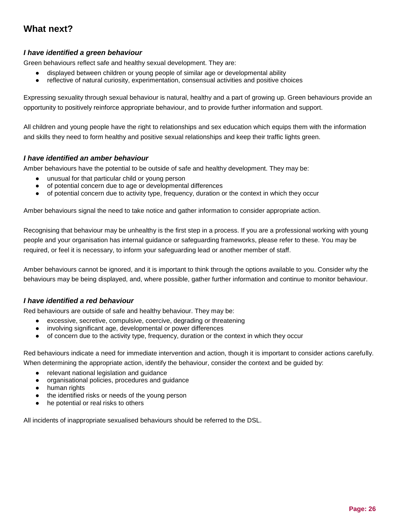# **What next?**

# *I have identified a green behaviour*

Green behaviours reflect safe and healthy sexual development. They are:

- displayed between children or young people of similar age or developmental ability
- reflective of natural curiosity, experimentation, consensual activities and positive choices

Expressing sexuality through sexual behaviour is natural, healthy and a part of growing up. Green behaviours provide an opportunity to positively reinforce appropriate behaviour, and to provide further information and support.

All children and young people have the right to relationships and sex education which equips them with the information and skills they need to form healthy and positive sexual relationships and keep their traffic lights green.

#### *I have identified an amber behaviour*

Amber behaviours have the potential to be outside of safe and healthy development. They may be:

- unusual for that particular child or young person
- of potential concern due to age or developmental differences
- of potential concern due to activity type, frequency, duration or the context in which they occur

Amber behaviours signal the need to take notice and gather information to consider appropriate action.

Recognising that behaviour may be unhealthy is the first step in a process. If you are a professional working with young people and your organisation has internal guidance or safeguarding frameworks, please refer to these. You may be required, or feel it is necessary, to inform your safeguarding lead or another member of staff.

Amber behaviours cannot be ignored, and it is important to think through the options available to you. Consider why the behaviours may be being displayed, and, where possible, gather further information and continue to monitor behaviour.

#### *I have identified a red behaviour*

Red behaviours are outside of safe and healthy behaviour. They may be:

- excessive, secretive, compulsive, coercive, degrading or threatening
- involving significant age, developmental or power differences
- of concern due to the activity type, frequency, duration or the context in which they occur

Red behaviours indicate a need for immediate intervention and action, though it is important to consider actions carefully. When determining the appropriate action, identify the behaviour, consider the context and be quided by:

- relevant national legislation and guidance
- organisational policies, procedures and guidance
- human rights
- the identified risks or needs of the young person
- he potential or real risks to others

All incidents of inappropriate sexualised behaviours should be referred to the DSL.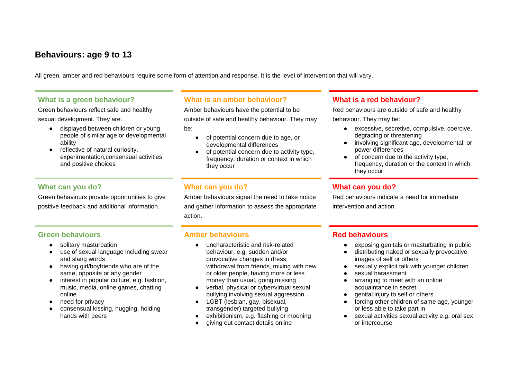# **Behaviours: age 9 to 13**

All green, amber and red behaviours require some form of attention and response. It is the level of intervention that will vary.

# **What is a green behaviour?**

Green behaviours reflect safe and healthy sexual development. They are:

- displayed between children or young people of similar age or developmental ability
- reflective of natural curiosity, experimentation,consensual activities and positive choices

# **What can you do?**

Green behaviours provide opportunities to give positive feedback and additional information.

# **What is an amber behaviour?**

Amber behaviours have the potential to be outside of safe and healthy behaviour. They may be:

- of potential concern due to age, or developmental differences
- of potential concern due to activity type, frequency, duration or context in which they occur

# **What can you do?**

Amber behaviours signal the need to take notice and gather information to assess the appropriate action.

# **Green behaviours**

- solitary masturbation
- use of sexual language including swear and slang words
- having girl/boyfriends who are of the same, opposite or any gender
- interest in popular culture, e.g. fashion, music, media, online games, chatting online
- need for privacy
- consensual kissing, hugging, holding hands with peers

# **Amber behaviours**

- uncharacteristic and risk-related behaviour, e.g. sudden and/or provocative changes in dress, withdrawal from friends, mixing with new or older people, having more or less money than usual, going missing
- verbal, physical or cyber/virtual sexual bullying involving sexual aggression
- LGBT (lesbian, gay, bisexual, transgender) targeted bullying
- exhibitionism, e.g. flashing or mooning
- giving out contact details online

# **What is a red behaviour?**

Red behaviours are outside of safe and healthy behaviour. They may be:

- excessive, secretive, compulsive, coercive, degrading or threatening
- involving significant age, developmental, or power differences
- of concern due to the activity type, frequency, duration or the context in which they occur

# **What can you do?**

Red behaviours indicate a need for immediate intervention and action.

# **Red behaviours**

- exposing genitals or masturbating in public
- distributing naked or sexually provocative images of self or others
- sexually explicit talk with younger children
- sexual harassment
- arranging to meet with an online acquaintance in secret
- genital injury to self or others
- forcing other children of same age, younger or less able to take part in
- sexual activities sexual activity e.g. oral sex or intercourse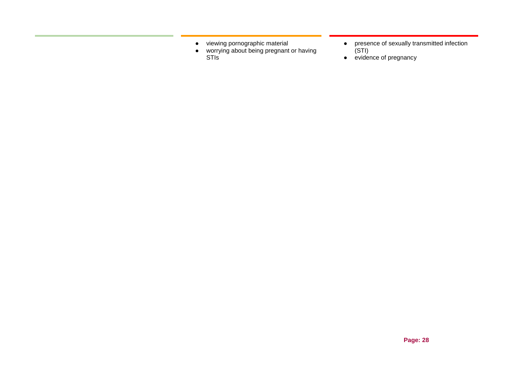- viewing pornographic material
- worrying about being pregnant or having **STIS**
- presence of sexually transmitted infection (STI)
- evidence of pregnancy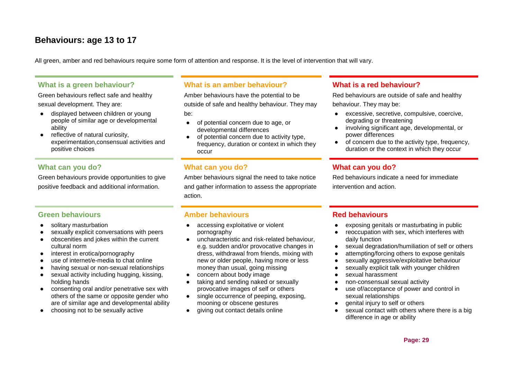# **Behaviours: age 13 to 17**

All green, amber and red behaviours require some form of attention and response. It is the level of intervention that will vary.

# **What is a green behaviour?**

Green behaviours reflect safe and healthy sexual development. They are:

- displayed between children or young people of similar age or developmental ability
- reflective of natural curiosity, experimentation,consensual activities and positive choices

# **What can you do?**

Green behaviours provide opportunities to give positive feedback and additional information.

#### **Green behaviours**

- solitary masturbation
- sexually explicit conversations with peers
- obscenities and jokes within the current cultural norm
- interest in erotica/pornography
- use of internet/e-media to chat online
- having sexual or non-sexual relationships
- sexual activity including hugging, kissing, holding hands
- consenting oral and/or penetrative sex with others of the same or opposite gender who are of similar age and developmental ability
- choosing not to be sexually active

# **What is an amber behaviour?**

Amber behaviours have the potential to be outside of safe and healthy behaviour. They may be:

- of potential concern due to age, or developmental differences
- of potential concern due to activity type, frequency, duration or context in which they occur

# **What can you do?**

Amber behaviours signal the need to take notice and gather information to assess the appropriate action.

# **Amber behaviours**

- accessing exploitative or violent pornography
- uncharacteristic and risk-related behaviour. e.g. sudden and/or provocative changes in dress, withdrawal from friends, mixing with new or older people, having more or less money than usual, going missing
- concern about body image
- taking and sending naked or sexually provocative images of self or others
- single occurrence of peeping, exposing, mooning or obscene gestures
- giving out contact details online

# **What is a red behaviour?**

Red behaviours are outside of safe and healthy behaviour. They may be:

- excessive, secretive, compulsive, coercive, degrading or threatening
- involving significant age, developmental, or power differences
- of concern due to the activity type, frequency, duration or the context in which they occur

# **What can you do?**

Red behaviours indicate a need for immediate intervention and action.

# **Red behaviours**

- exposing genitals or masturbating in public
- reoccupation with sex, which interferes with daily function
- sexual degradation/humiliation of self or others
- attempting/forcing others to expose genitals
- sexually aggressive/exploitative behaviour
- sexually explicit talk with younger children
- sexual harassment
- non-consensual sexual activity
- use of/acceptance of power and control in sexual relationships
- genital injury to self or others
- sexual contact with others where there is a big difference in age or ability